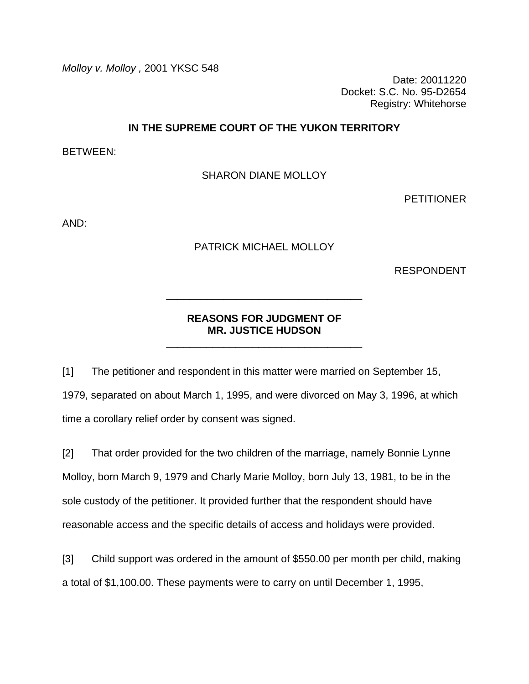*Molloy v. Molloy ,* 2001 YKSC 548

Date: 20011220 Docket: S.C. No. 95-D2654 Registry: Whitehorse

### **IN THE SUPREME COURT OF THE YUKON TERRITORY**

BETWEEN:

SHARON DIANE MOLLOY

PETITIONER

AND:

PATRICK MICHAEL MOLLOY

RESPONDENT

# **REASONS FOR JUDGMENT OF MR. JUSTICE HUDSON**

\_\_\_\_\_\_\_\_\_\_\_\_\_\_\_\_\_\_\_\_\_\_\_\_\_\_\_\_\_\_\_\_\_\_

\_\_\_\_\_\_\_\_\_\_\_\_\_\_\_\_\_\_\_\_\_\_\_\_\_\_\_\_\_\_\_\_\_\_

[1] The petitioner and respondent in this matter were married on September 15, 1979, separated on about March 1, 1995, and were divorced on May 3, 1996, at which time a corollary relief order by consent was signed.

[2] That order provided for the two children of the marriage, namely Bonnie Lynne Molloy, born March 9, 1979 and Charly Marie Molloy, born July 13, 1981, to be in the sole custody of the petitioner. It provided further that the respondent should have reasonable access and the specific details of access and holidays were provided.

[3] Child support was ordered in the amount of \$550.00 per month per child, making a total of \$1,100.00. These payments were to carry on until December 1, 1995,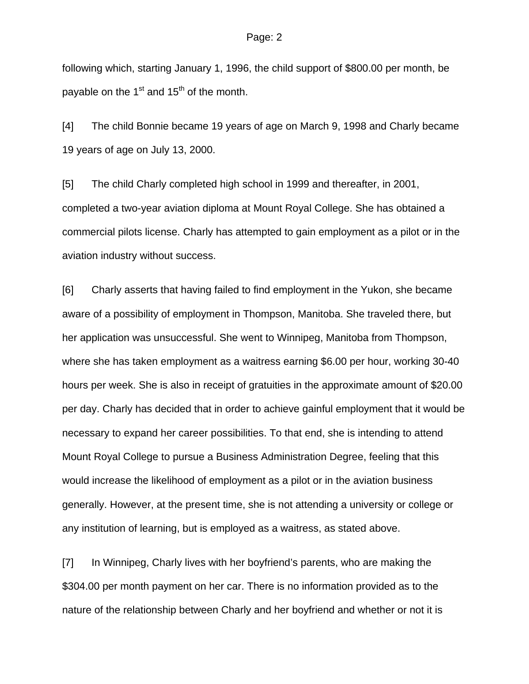following which, starting January 1, 1996, the child support of \$800.00 per month, be payable on the  $1<sup>st</sup>$  and  $15<sup>th</sup>$  of the month.

[4] The child Bonnie became 19 years of age on March 9, 1998 and Charly became 19 years of age on July 13, 2000.

[5] The child Charly completed high school in 1999 and thereafter, in 2001, completed a two-year aviation diploma at Mount Royal College. She has obtained a commercial pilots license. Charly has attempted to gain employment as a pilot or in the aviation industry without success.

[6] Charly asserts that having failed to find employment in the Yukon, she became aware of a possibility of employment in Thompson, Manitoba. She traveled there, but her application was unsuccessful. She went to Winnipeg, Manitoba from Thompson, where she has taken employment as a waitress earning \$6.00 per hour, working 30-40 hours per week. She is also in receipt of gratuities in the approximate amount of \$20.00 per day. Charly has decided that in order to achieve gainful employment that it would be necessary to expand her career possibilities. To that end, she is intending to attend Mount Royal College to pursue a Business Administration Degree, feeling that this would increase the likelihood of employment as a pilot or in the aviation business generally. However, at the present time, she is not attending a university or college or any institution of learning, but is employed as a waitress, as stated above.

[7] In Winnipeg, Charly lives with her boyfriend's parents, who are making the \$304.00 per month payment on her car. There is no information provided as to the nature of the relationship between Charly and her boyfriend and whether or not it is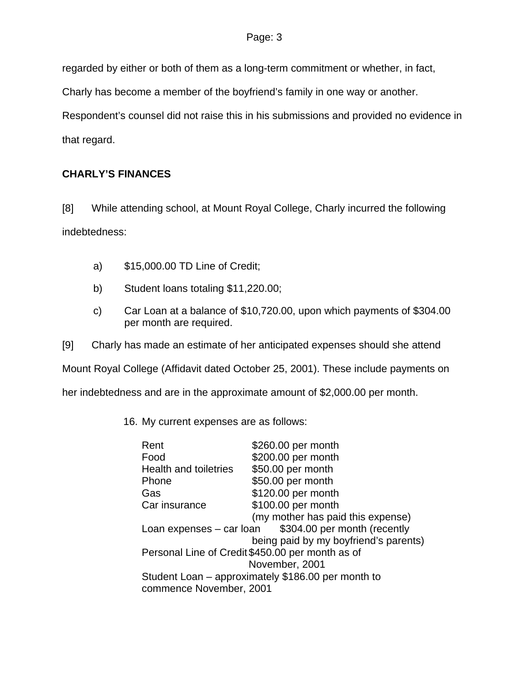regarded by either or both of them as a long-term commitment or whether, in fact,

Charly has become a member of the boyfriend's family in one way or another.

Respondent's counsel did not raise this in his submissions and provided no evidence in that regard.

# **CHARLY'S FINANCES**

[8] While attending school, at Mount Royal College, Charly incurred the following indebtedness:

- a) \$15,000.00 TD Line of Credit;
- b) Student loans totaling \$11,220.00;
- c) Car Loan at a balance of \$10,720.00, upon which payments of \$304.00 per month are required.
- [9] Charly has made an estimate of her anticipated expenses should she attend

Mount Royal College (Affidavit dated October 25, 2001). These include payments on

her indebtedness and are in the approximate amount of \$2,000.00 per month.

16. My current expenses are as follows:

| Rent                                                     | \$260.00 per month                    |  |
|----------------------------------------------------------|---------------------------------------|--|
| Food                                                     | \$200.00 per month                    |  |
| <b>Health and toiletries</b>                             | \$50.00 per month                     |  |
| Phone                                                    | \$50.00 per month                     |  |
| Gas                                                      | \$120.00 per month                    |  |
| Car insurance                                            | \$100.00 per month                    |  |
|                                                          | (my mother has paid this expense)     |  |
| \$304.00 per month (recently<br>Loan expenses – car loan |                                       |  |
|                                                          | being paid by my boyfriend's parents) |  |
| Personal Line of Credit \$450.00 per month as of         |                                       |  |
| November, 2001                                           |                                       |  |
| Student Loan – approximately \$186.00 per month to       |                                       |  |
| commence November, 2001                                  |                                       |  |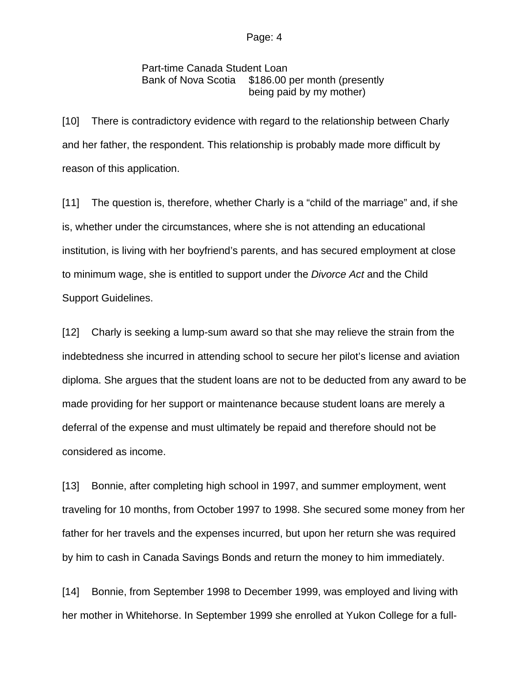Part-time Canada Student Loan Bank of Nova Scotia \$186.00 per month (presently being paid by my mother)

[10] There is contradictory evidence with regard to the relationship between Charly and her father, the respondent. This relationship is probably made more difficult by reason of this application.

[11] The question is, therefore, whether Charly is a "child of the marriage" and, if she is, whether under the circumstances, where she is not attending an educational institution, is living with her boyfriend's parents, and has secured employment at close to minimum wage, she is entitled to support under the *Divorce Act* and the Child Support Guidelines.

[12] Charly is seeking a lump-sum award so that she may relieve the strain from the indebtedness she incurred in attending school to secure her pilot's license and aviation diploma. She argues that the student loans are not to be deducted from any award to be made providing for her support or maintenance because student loans are merely a deferral of the expense and must ultimately be repaid and therefore should not be considered as income.

[13] Bonnie, after completing high school in 1997, and summer employment, went traveling for 10 months, from October 1997 to 1998. She secured some money from her father for her travels and the expenses incurred, but upon her return she was required by him to cash in Canada Savings Bonds and return the money to him immediately.

[14] Bonnie, from September 1998 to December 1999, was employed and living with her mother in Whitehorse. In September 1999 she enrolled at Yukon College for a full-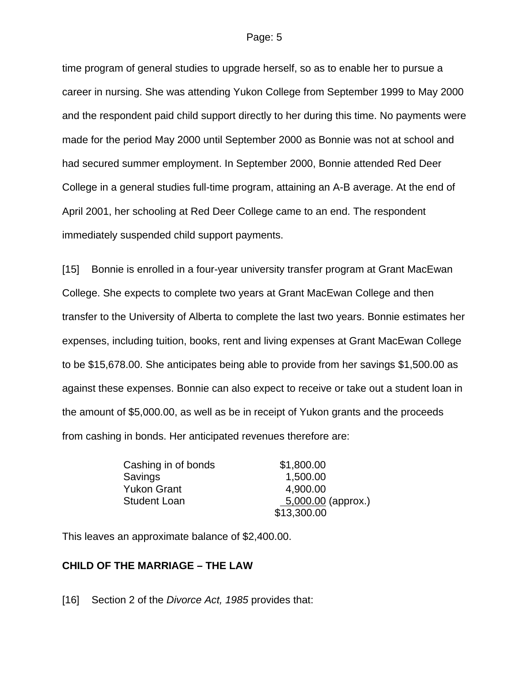time program of general studies to upgrade herself, so as to enable her to pursue a career in nursing. She was attending Yukon College from September 1999 to May 2000 and the respondent paid child support directly to her during this time. No payments were made for the period May 2000 until September 2000 as Bonnie was not at school and had secured summer employment. In September 2000, Bonnie attended Red Deer College in a general studies full-time program, attaining an A-B average. At the end of April 2001, her schooling at Red Deer College came to an end. The respondent immediately suspended child support payments.

[15] Bonnie is enrolled in a four-year university transfer program at Grant MacEwan College. She expects to complete two years at Grant MacEwan College and then transfer to the University of Alberta to complete the last two years. Bonnie estimates her expenses, including tuition, books, rent and living expenses at Grant MacEwan College to be \$15,678.00. She anticipates being able to provide from her savings \$1,500.00 as against these expenses. Bonnie can also expect to receive or take out a student loan in the amount of \$5,000.00, as well as be in receipt of Yukon grants and the proceeds from cashing in bonds. Her anticipated revenues therefore are:

| Cashing in of bonds | \$1,800.00           |
|---------------------|----------------------|
| Savings             | 1,500.00             |
| Yukon Grant         | 4,900.00             |
| Student Loan        | $5,000.00$ (approx.) |
|                     | \$13,300.00          |

This leaves an approximate balance of \$2,400.00.

### **CHILD OF THE MARRIAGE – THE LAW**

[16] Section 2 of the *Divorce Act, 1985* provides that: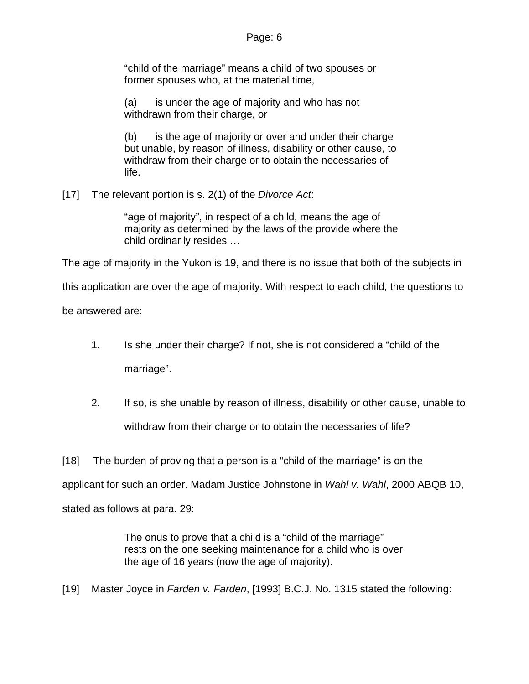"child of the marriage" means a child of two spouses or former spouses who, at the material time,

(a) is under the age of majority and who has not withdrawn from their charge, or

(b) is the age of majority or over and under their charge but unable, by reason of illness, disability or other cause, to withdraw from their charge or to obtain the necessaries of life.

[17] The relevant portion is s. 2(1) of the *Divorce Act*:

"age of majority", in respect of a child, means the age of majority as determined by the laws of the provide where the child ordinarily resides …

The age of majority in the Yukon is 19, and there is no issue that both of the subjects in

this application are over the age of majority. With respect to each child, the questions to

be answered are:

- 1. Is she under their charge? If not, she is not considered a "child of the marriage".
- 2. If so, is she unable by reason of illness, disability or other cause, unable to withdraw from their charge or to obtain the necessaries of life?

[18] The burden of proving that a person is a "child of the marriage" is on the

applicant for such an order. Madam Justice Johnstone in *Wahl v. Wahl*, 2000 ABQB 10,

stated as follows at para. 29:

The onus to prove that a child is a "child of the marriage" rests on the one seeking maintenance for a child who is over the age of 16 years (now the age of majority).

[19] Master Joyce in *Farden v. Farden*, [1993] B.C.J. No. 1315 stated the following: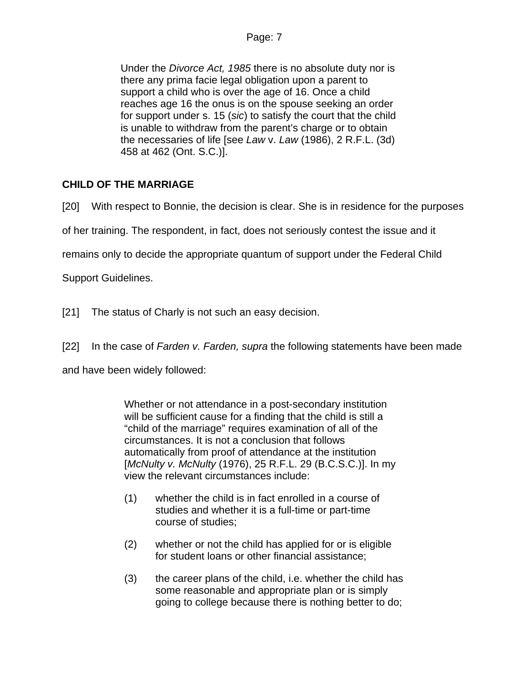Under the *Divorce Act, 1985* there is no absolute duty nor is there any prima facie legal obligation upon a parent to support a child who is over the age of 16. Once a child reaches age 16 the onus is on the spouse seeking an order for support under s. 15 (*sic*) to satisfy the court that the child is unable to withdraw from the parent's charge or to obtain the necessaries of life [see *Law* v. *Law* (1986), 2 R.F.L. (3d) 458 at 462 (Ont. S.C.)].

# **CHILD OF THE MARRIAGE**

[20] With respect to Bonnie, the decision is clear. She is in residence for the purposes

of her training. The respondent, in fact, does not seriously contest the issue and it

remains only to decide the appropriate quantum of support under the Federal Child

Support Guidelines.

[21] The status of Charly is not such an easy decision.

[22] In the case of *Farden v. Farden, supra* the following statements have been made

and have been widely followed:

Whether or not attendance in a post-secondary institution will be sufficient cause for a finding that the child is still a "child of the marriage" requires examination of all of the circumstances. It is not a conclusion that follows automatically from proof of attendance at the institution [*McNulty v. McNulty* (1976), 25 R.F.L. 29 (B.C.S.C.)]. In my view the relevant circumstances include:

- (1) whether the child is in fact enrolled in a course of studies and whether it is a full-time or part-time course of studies;
- (2) whether or not the child has applied for or is eligible for student loans or other financial assistance;
- (3) the career plans of the child, i.e. whether the child has some reasonable and appropriate plan or is simply going to college because there is nothing better to do;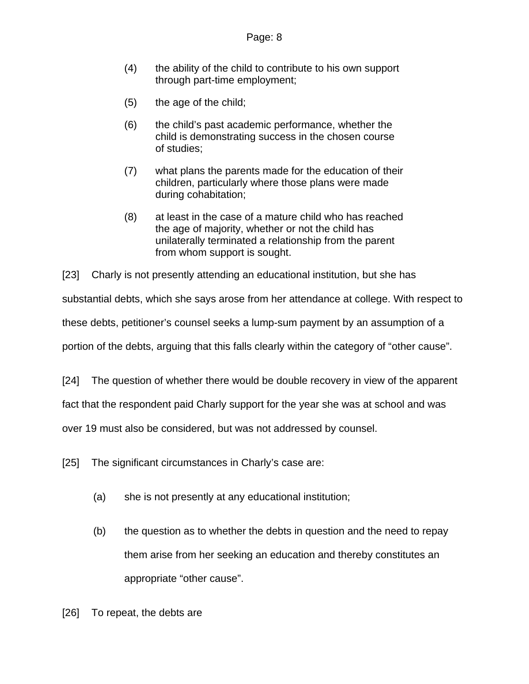- (4) the ability of the child to contribute to his own support through part-time employment;
- (5) the age of the child;
- (6) the child's past academic performance, whether the child is demonstrating success in the chosen course of studies;
- (7) what plans the parents made for the education of their children, particularly where those plans were made during cohabitation;
- (8) at least in the case of a mature child who has reached the age of majority, whether or not the child has unilaterally terminated a relationship from the parent from whom support is sought.

[23] Charly is not presently attending an educational institution, but she has

substantial debts, which she says arose from her attendance at college. With respect to

these debts, petitioner's counsel seeks a lump-sum payment by an assumption of a

portion of the debts, arguing that this falls clearly within the category of "other cause".

[24] The question of whether there would be double recovery in view of the apparent

fact that the respondent paid Charly support for the year she was at school and was

over 19 must also be considered, but was not addressed by counsel.

- [25] The significant circumstances in Charly's case are:
	- (a) she is not presently at any educational institution;
	- (b) the question as to whether the debts in question and the need to repay them arise from her seeking an education and thereby constitutes an appropriate "other cause".
- [26] To repeat, the debts are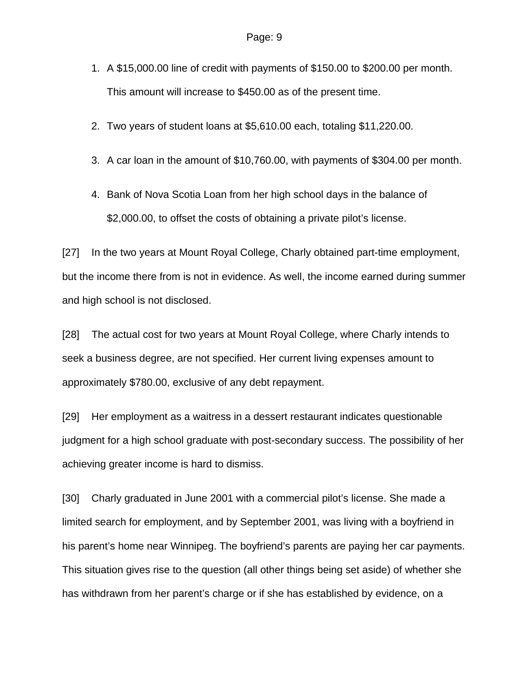- 1. A \$15,000.00 line of credit with payments of \$150.00 to \$200.00 per month. This amount will increase to \$450.00 as of the present time.
- 2. Two years of student loans at \$5,610.00 each, totaling \$11,220.00.
- 3. A car loan in the amount of \$10,760.00, with payments of \$304.00 per month.
- 4. Bank of Nova Scotia Loan from her high school days in the balance of \$2,000.00, to offset the costs of obtaining a private pilot's license.

[27] In the two years at Mount Royal College, Charly obtained part-time employment, but the income there from is not in evidence. As well, the income earned during summer and high school is not disclosed.

[28] The actual cost for two years at Mount Royal College, where Charly intends to seek a business degree, are not specified. Her current living expenses amount to approximately \$780.00, exclusive of any debt repayment.

[29] Her employment as a waitress in a dessert restaurant indicates questionable judgment for a high school graduate with post-secondary success. The possibility of her achieving greater income is hard to dismiss.

[30] Charly graduated in June 2001 with a commercial pilot's license. She made a limited search for employment, and by September 2001, was living with a boyfriend in his parent's home near Winnipeg. The boyfriend's parents are paying her car payments. This situation gives rise to the question (all other things being set aside) of whether she has withdrawn from her parent's charge or if she has established by evidence, on a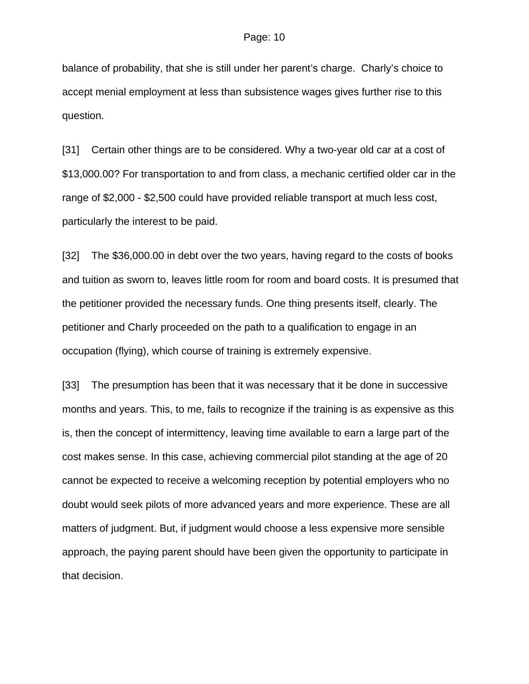balance of probability, that she is still under her parent's charge. Charly's choice to accept menial employment at less than subsistence wages gives further rise to this question.

[31] Certain other things are to be considered. Why a two-year old car at a cost of \$13,000.00? For transportation to and from class, a mechanic certified older car in the range of \$2,000 - \$2,500 could have provided reliable transport at much less cost, particularly the interest to be paid.

[32] The \$36,000.00 in debt over the two years, having regard to the costs of books and tuition as sworn to, leaves little room for room and board costs. It is presumed that the petitioner provided the necessary funds. One thing presents itself, clearly. The petitioner and Charly proceeded on the path to a qualification to engage in an occupation (flying), which course of training is extremely expensive.

[33] The presumption has been that it was necessary that it be done in successive months and years. This, to me, fails to recognize if the training is as expensive as this is, then the concept of intermittency, leaving time available to earn a large part of the cost makes sense. In this case, achieving commercial pilot standing at the age of 20 cannot be expected to receive a welcoming reception by potential employers who no doubt would seek pilots of more advanced years and more experience. These are all matters of judgment. But, if judgment would choose a less expensive more sensible approach, the paying parent should have been given the opportunity to participate in that decision.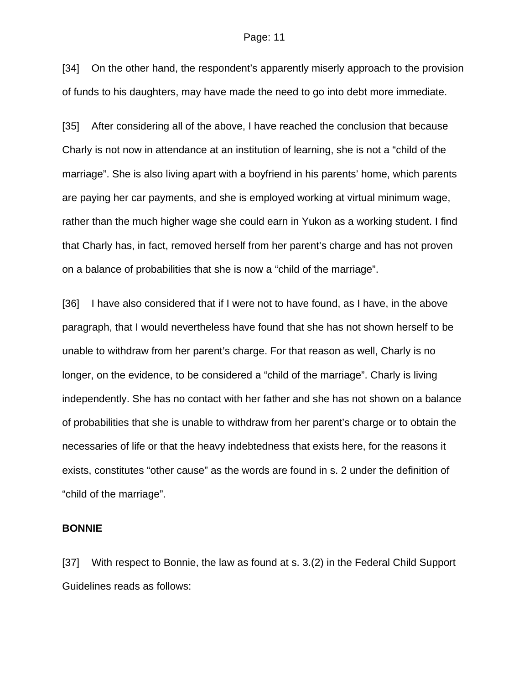[34] On the other hand, the respondent's apparently miserly approach to the provision of funds to his daughters, may have made the need to go into debt more immediate.

[35] After considering all of the above, I have reached the conclusion that because Charly is not now in attendance at an institution of learning, she is not a "child of the marriage". She is also living apart with a boyfriend in his parents' home, which parents are paying her car payments, and she is employed working at virtual minimum wage, rather than the much higher wage she could earn in Yukon as a working student. I find that Charly has, in fact, removed herself from her parent's charge and has not proven on a balance of probabilities that she is now a "child of the marriage".

[36] I have also considered that if I were not to have found, as I have, in the above paragraph, that I would nevertheless have found that she has not shown herself to be unable to withdraw from her parent's charge. For that reason as well, Charly is no longer, on the evidence, to be considered a "child of the marriage". Charly is living independently. She has no contact with her father and she has not shown on a balance of probabilities that she is unable to withdraw from her parent's charge or to obtain the necessaries of life or that the heavy indebtedness that exists here, for the reasons it exists, constitutes "other cause" as the words are found in s. 2 under the definition of "child of the marriage".

### **BONNIE**

[37] With respect to Bonnie, the law as found at s. 3.(2) in the Federal Child Support Guidelines reads as follows: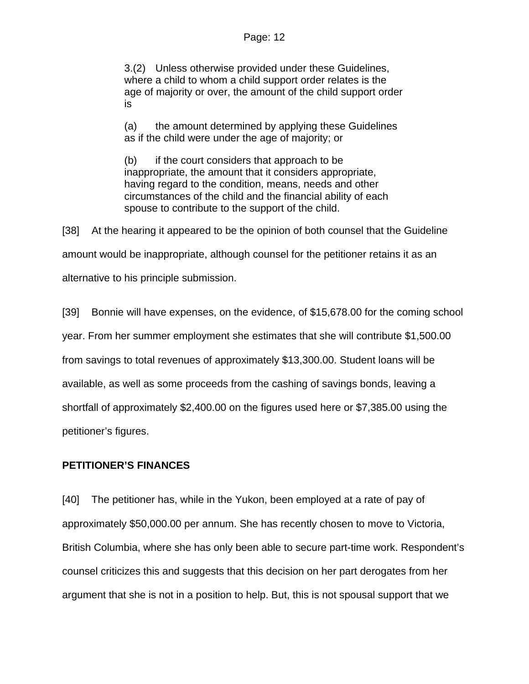3.(2) Unless otherwise provided under these Guidelines, where a child to whom a child support order relates is the age of majority or over, the amount of the child support order is

(a) the amount determined by applying these Guidelines as if the child were under the age of majority; or

(b) if the court considers that approach to be inappropriate, the amount that it considers appropriate, having regard to the condition, means, needs and other circumstances of the child and the financial ability of each spouse to contribute to the support of the child.

[38] At the hearing it appeared to be the opinion of both counsel that the Guideline amount would be inappropriate, although counsel for the petitioner retains it as an alternative to his principle submission.

[39] Bonnie will have expenses, on the evidence, of \$15,678.00 for the coming school year. From her summer employment she estimates that she will contribute \$1,500.00 from savings to total revenues of approximately \$13,300.00. Student loans will be available, as well as some proceeds from the cashing of savings bonds, leaving a shortfall of approximately \$2,400.00 on the figures used here or \$7,385.00 using the petitioner's figures.

## **PETITIONER'S FINANCES**

[40] The petitioner has, while in the Yukon, been employed at a rate of pay of approximately \$50,000.00 per annum. She has recently chosen to move to Victoria, British Columbia, where she has only been able to secure part-time work. Respondent's counsel criticizes this and suggests that this decision on her part derogates from her argument that she is not in a position to help. But, this is not spousal support that we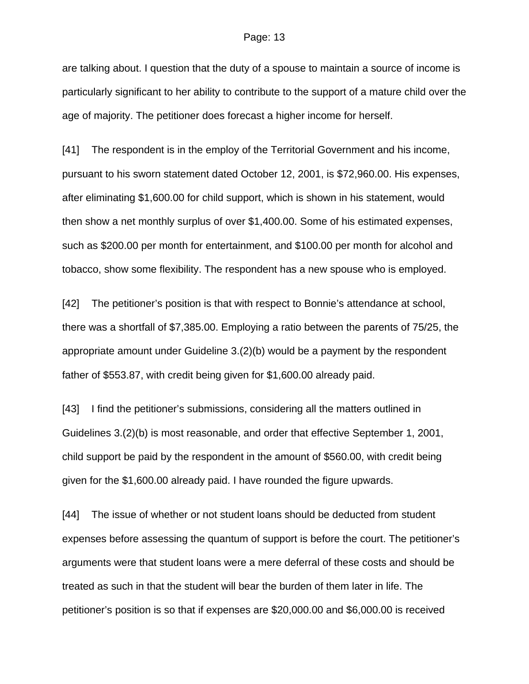are talking about. I question that the duty of a spouse to maintain a source of income is particularly significant to her ability to contribute to the support of a mature child over the age of majority. The petitioner does forecast a higher income for herself.

[41] The respondent is in the employ of the Territorial Government and his income, pursuant to his sworn statement dated October 12, 2001, is \$72,960.00. His expenses, after eliminating \$1,600.00 for child support, which is shown in his statement, would then show a net monthly surplus of over \$1,400.00. Some of his estimated expenses, such as \$200.00 per month for entertainment, and \$100.00 per month for alcohol and tobacco, show some flexibility. The respondent has a new spouse who is employed.

[42] The petitioner's position is that with respect to Bonnie's attendance at school, there was a shortfall of \$7,385.00. Employing a ratio between the parents of 75/25, the appropriate amount under Guideline 3.(2)(b) would be a payment by the respondent father of \$553.87, with credit being given for \$1,600.00 already paid.

[43] I find the petitioner's submissions, considering all the matters outlined in Guidelines 3.(2)(b) is most reasonable, and order that effective September 1, 2001, child support be paid by the respondent in the amount of \$560.00, with credit being given for the \$1,600.00 already paid. I have rounded the figure upwards.

[44] The issue of whether or not student loans should be deducted from student expenses before assessing the quantum of support is before the court. The petitioner's arguments were that student loans were a mere deferral of these costs and should be treated as such in that the student will bear the burden of them later in life. The petitioner's position is so that if expenses are \$20,000.00 and \$6,000.00 is received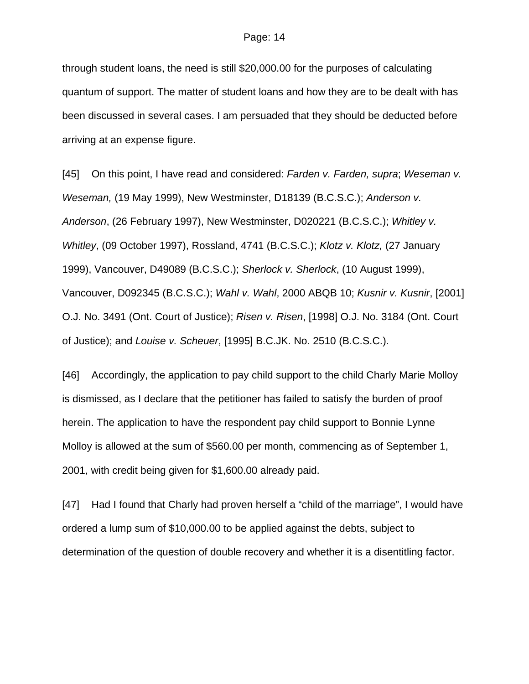through student loans, the need is still \$20,000.00 for the purposes of calculating quantum of support. The matter of student loans and how they are to be dealt with has been discussed in several cases. I am persuaded that they should be deducted before arriving at an expense figure.

[45] On this point, I have read and considered: *Farden v. Farden, supra*; *Weseman v. Weseman,* (19 May 1999), New Westminster, D18139 (B.C.S.C.); *Anderson v. Anderson*, (26 February 1997), New Westminster, D020221 (B.C.S.C.); *Whitley v. Whitley*, (09 October 1997), Rossland, 4741 (B.C.S.C.); *Klotz v. Klotz,* (27 January 1999), Vancouver, D49089 (B.C.S.C.); *Sherlock v. Sherlock*, (10 August 1999), Vancouver, D092345 (B.C.S.C.); *Wahl v. Wahl*, 2000 ABQB 10; *Kusnir v. Kusnir*, [2001] O.J. No. 3491 (Ont. Court of Justice); *Risen v. Risen*, [1998] O.J. No. 3184 (Ont. Court of Justice); and *Louise v. Scheuer*, [1995] B.C.JK. No. 2510 (B.C.S.C.).

[46] Accordingly, the application to pay child support to the child Charly Marie Molloy is dismissed, as I declare that the petitioner has failed to satisfy the burden of proof herein. The application to have the respondent pay child support to Bonnie Lynne Molloy is allowed at the sum of \$560.00 per month, commencing as of September 1, 2001, with credit being given for \$1,600.00 already paid.

[47] Had I found that Charly had proven herself a "child of the marriage", I would have ordered a lump sum of \$10,000.00 to be applied against the debts, subject to determination of the question of double recovery and whether it is a disentitling factor.